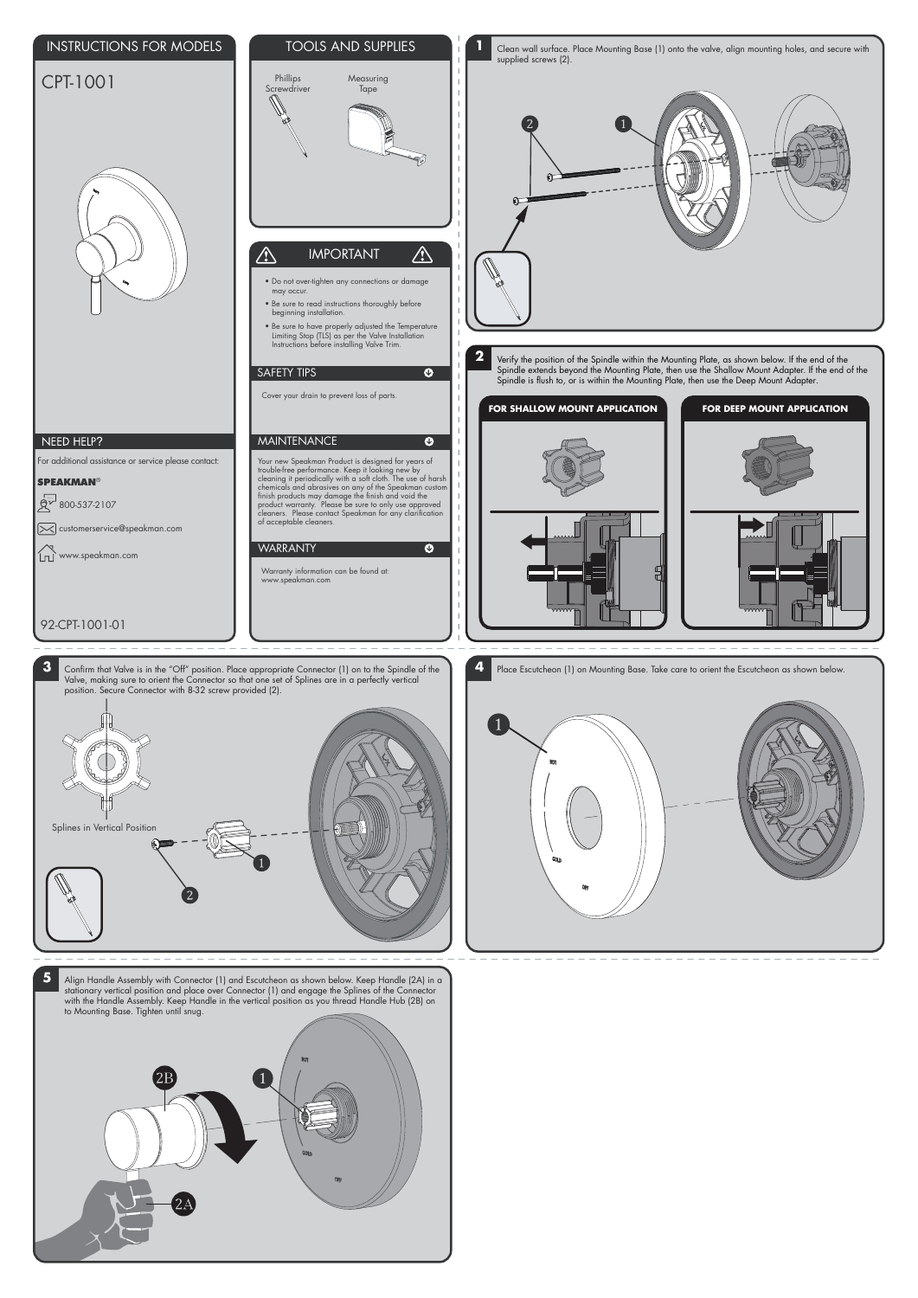

**5** Align Handle Assembly with Connector (1) and Escutcheon as shown below. Keep Handle (2A) in a stationary vertical position and place over Connector (1) and engage the Splines of the Connector with the Handle Assembly. Keep Handle in the vertical position as you thread Handle Hub (2B) on to Mounting Base. Tighten until snug.